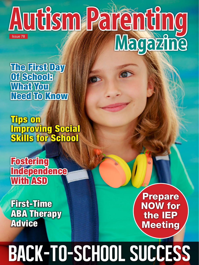## Issue 78 **Autism Parenting Magazine**

The First Day Of School: What You Need To Know

Tips on Improving Social Skills for School

**Fostering Independence** With **ASD** 

First-Time ABA Therapy **Advice** 

Prepare NOW for the IEP Meeting

## BACK-TO-SCHOOL SUCCESS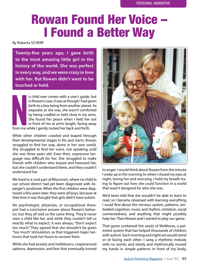## **Rowan Found Her Voice** I Found a Better Way

By Roberta SCHERF

**Twenty-fve years ago, I gave birth to the most amazing little girl in the history of the world. She was perfect in every way, and we were crazy in love with her. But Rowan didn't want to be touched or held.** 

From me o child ever comes with a user's guide, but in Rowan's case, it was as though I had given birth to a tiny being from another planet. As exquisite as she was, she wasn't comforted by being cradled or held close in my arms. She found her peace when I held her out in front of me at arm's length, facing away from me while I gently rocked her back and forth.

While other children crawled and leaped through their developmental stages in fts and starts, Rowan struggled to fnd her way, alone in her own world. She struggled to fnd her voice, not speaking until she was three years old. Even then, expressive language was difficult for her. She struggled to make friends with children who teased and harassed her, but she couldn't understand them, and they couldn't understand her.

We lived in a rural part of Wisconsin, where no child in our school district had yet been diagnosed with Asperger's syndrome. When the frst children were diagnosed a few years later, they were all boys, because at that time it was thought that girls didn't have autism.

No psychologist, physician, or occupational therapist had a conclusive answer about Rowan's behavior, but they all told us the same thing. They'd never seen a child like her, and while they couldn't tell us exactly what to expect, it was always, "Don't expect too much." They agreed that she shouldn't be given "too much" stimulation, as that triggered major tantrums that took her hours to recover from.

While she had anxiety and meltdowns, I experienced sadness, depression, and fear that eventually turned



to anger. I would think about Rowan from the minute I woke up in the morning to when I closed my eyes at night, loving her and worrying. I held my breath trying to fgure out how she could function in a world that wasn't designed for who she was.

We'd been told that she wouldn't be able to learn to read, so I became obsessed with learning everything I could fnd about the nervous system, patterns, embodied cognition, music and rhythm, imitation, social connectedness, and anything that might possibly help her. Then Rowan and I started to play our game.

That game contained the seeds of MeMoves, a patented system that has helped thousands of children with autism. Each morning and night we would stand or sit facing each other. I sang a rhythmic melody with no words, and slowly and rhythmically moved my hands in simple patterns in front of my body,